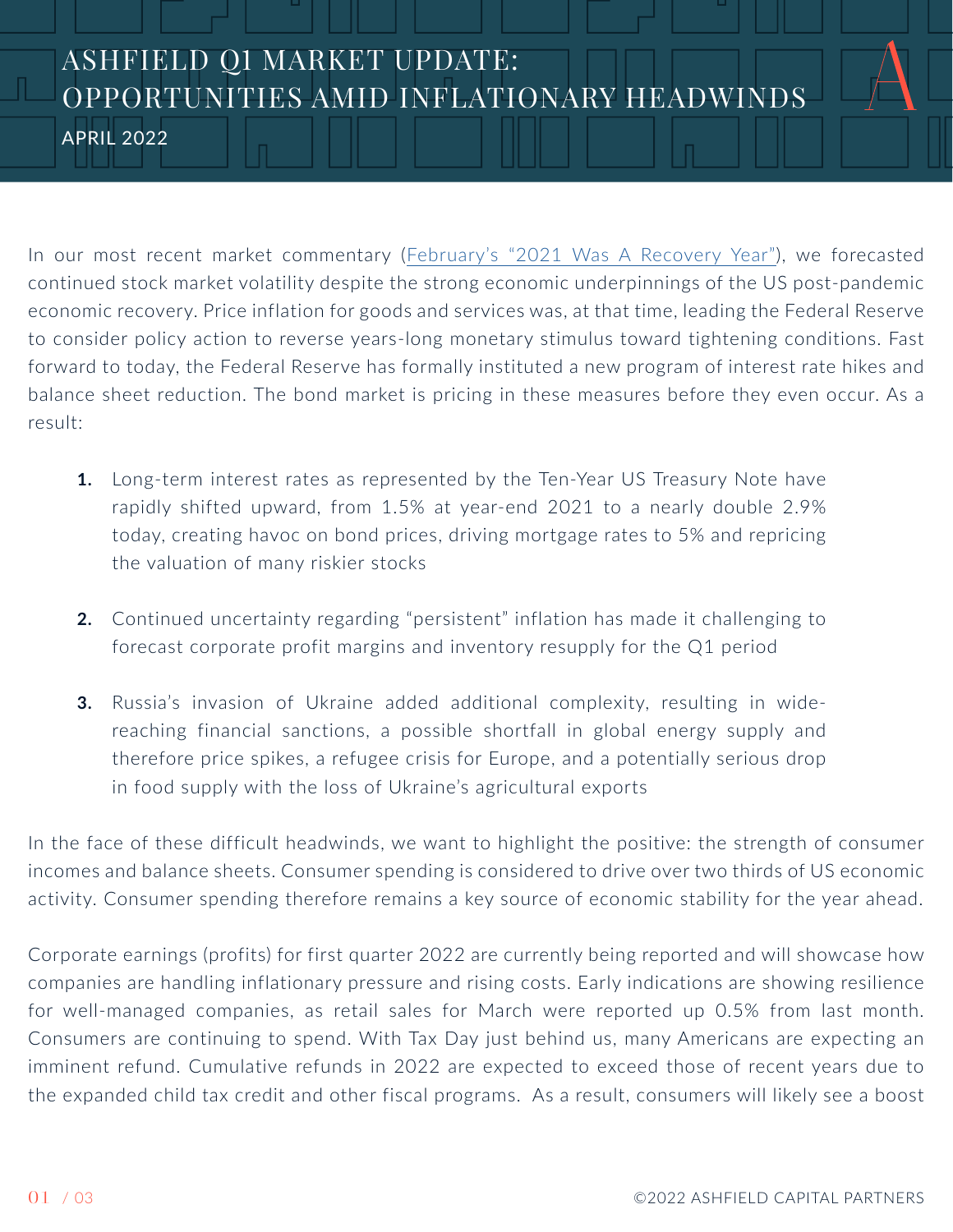## ASHFIELD Q1 MARKET UPDATE: OPPORTUNITIES AMID INFLATIONARY HEADWINDS

APRIL 2022

In our most recent market commentary ([February's "2021 Was A Recovery Year"\)](https://ashfield.com/markets-update-feb-2022/), we forecasted continued stock market volatility despite the strong economic underpinnings of the US post-pandemic economic recovery. Price inflation for goods and services was, at that time, leading the Federal Reserve to consider policy action to reverse years-long monetary stimulus toward tightening conditions. Fast forward to today, the Federal Reserve has formally instituted a new program of interest rate hikes and balance sheet reduction. The bond market is pricing in these measures before they even occur. As a result:

- **1.** Long-term interest rates as represented by the Ten-Year US Treasury Note have rapidly shifted upward, from 1.5% at year-end 2021 to a nearly double 2.9% today, creating havoc on bond prices, driving mortgage rates to 5% and repricing the valuation of many riskier stocks
- **2.** Continued uncertainty regarding "persistent" inflation has made it challenging to forecast corporate profit margins and inventory resupply for the Q1 period
- **3.** Russia's invasion of Ukraine added additional complexity, resulting in widereaching financial sanctions, a possible shortfall in global energy supply and therefore price spikes, a refugee crisis for Europe, and a potentially serious drop in food supply with the loss of Ukraine's agricultural exports

In the face of these difficult headwinds, we want to highlight the positive: the strength of consumer incomes and balance sheets. Consumer spending is considered to drive over two thirds of US economic activity. Consumer spending therefore remains a key source of economic stability for the year ahead.

Corporate earnings (profits) for first quarter 2022 are currently being reported and will showcase how companies are handling inflationary pressure and rising costs. Early indications are showing resilience for well-managed companies, as retail sales for March were reported up 0.5% from last month. Consumers are continuing to spend. With Tax Day just behind us, many Americans are expecting an imminent refund. Cumulative refunds in 2022 are expected to exceed those of recent years due to the expanded child tax credit and other fiscal programs. As a result, consumers will likely see a boost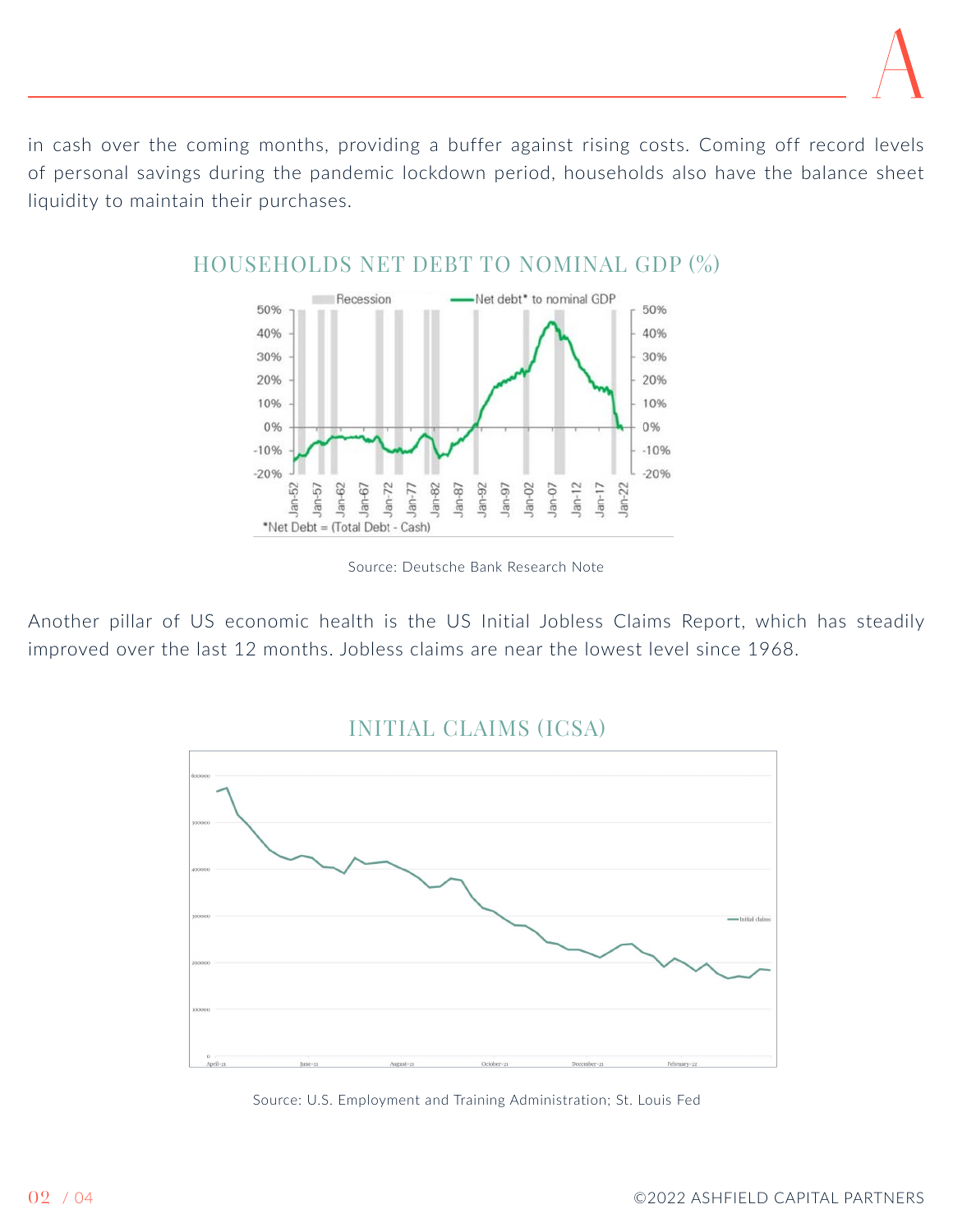in cash over the coming months, providing a buffer against rising costs. Coming off record levels of personal savings during the pandemic lockdown period, households also have the balance sheet liquidity to maintain their purchases.



HOUSEHOLDS NET DEBT TO NOMINAL GDP (%)

Source: Deutsche Bank Research Note

Another pillar of US economic health is the US Initial Jobless Claims Report, which has steadily improved over the last 12 months. Jobless claims are near the lowest level since 1968.

## INITIAL CLAIMS (ICSA)



Source: U.S. Employment and Training Administration; St. Louis Fed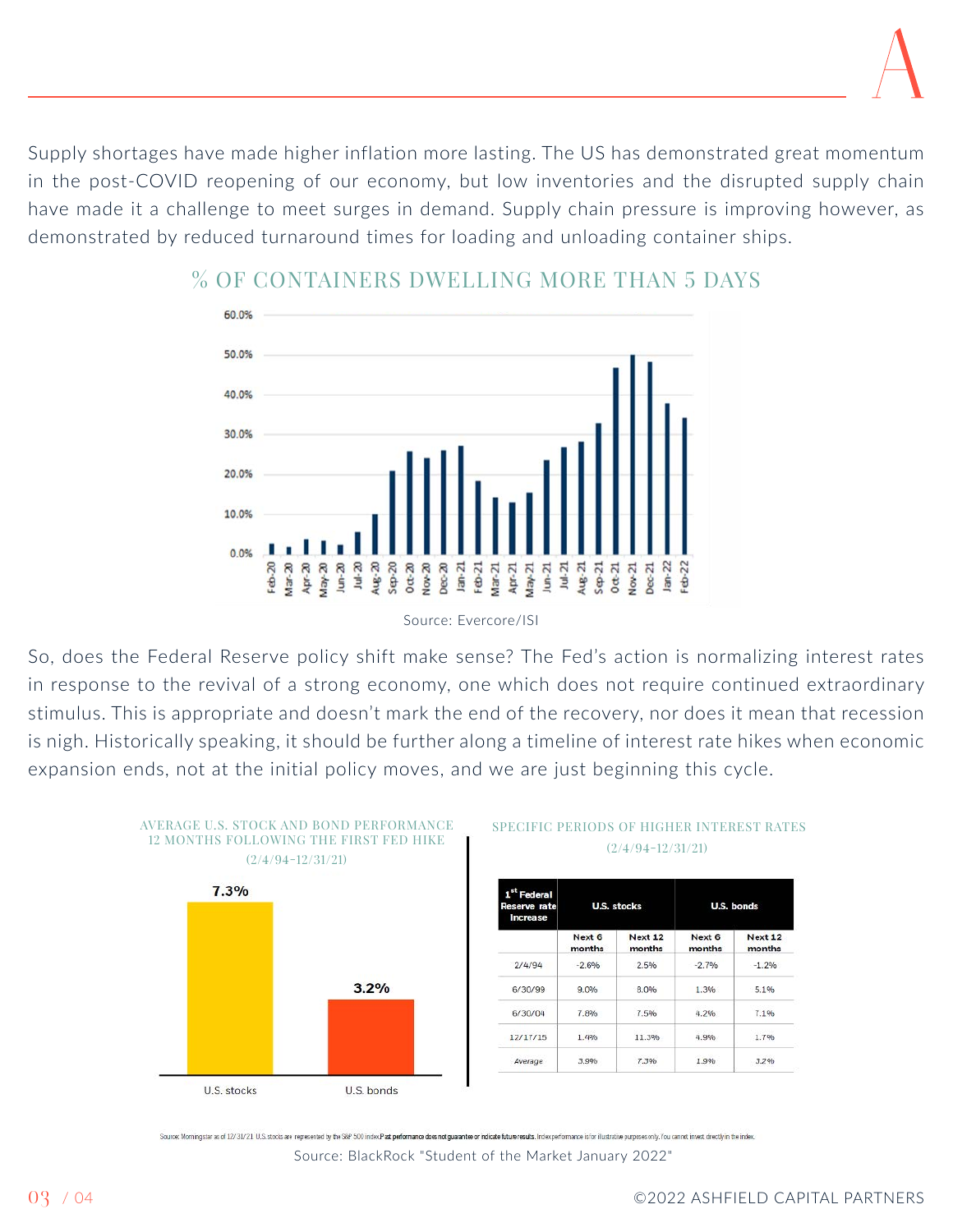Supply shortages have made higher inflation more lasting. The US has demonstrated great momentum in the post-COVID reopening of our economy, but low inventories and the disrupted supply chain have made it a challenge to meet surges in demand. Supply chain pressure is improving however, as demonstrated by reduced turnaround times for loading and unloading container ships.



## % OF CONTAINERS DWELLING MORE THAN 5 DAYS

Source: Evercore/ISI

So, does the Federal Reserve policy shift make sense? The Fed's action is normalizing interest rates in response to the revival of a strong economy, one which does not require continued extraordinary stimulus. This is appropriate and doesn't mark the end of the recovery, nor does it mean that recession is nigh. Historically speaking, it should be further along a timeline of interest rate hikes when economic expansion ends, not at the initial policy moves, and we are just beginning this cycle.



## SPECIFIC PERIODS OF HIGHER INTEREST RATES

| 1 <sup>st</sup> Federal<br>Reserve rate<br><b>Increase</b> | <b>U.S. stocks</b> |                   | U.S. bonds       |                   |
|------------------------------------------------------------|--------------------|-------------------|------------------|-------------------|
|                                                            | Next 6<br>months   | Next 12<br>months | Next 6<br>months | Next 12<br>months |
| 2/4/94                                                     | $-2.6%$            | 2.5%              | $-2.7%$          | $-1.2%$           |
| 6/30/99                                                    | 9.0%               | 8.0%              | 1.3%             | 5.1%              |
| 6/30/04                                                    | 7.8%               | 7.5%              | 4.2%             | 7.1%              |
| 12/17/15                                                   | 1.4%               | 11.3%             | 4.9%             | 1.7%              |
| Average                                                    | 3.9%               | 7.3%              | 1.9%             | 3.2%              |

urox Mominostar as of 12/31/21 U.S. stocks are represented by the S&P 500 indexPad performance does not quarantee or indicate future results. Index oe formance is for illustrative ourorses only. You cannot invest directly Source: BlackRock "Student of the Market January 2022"